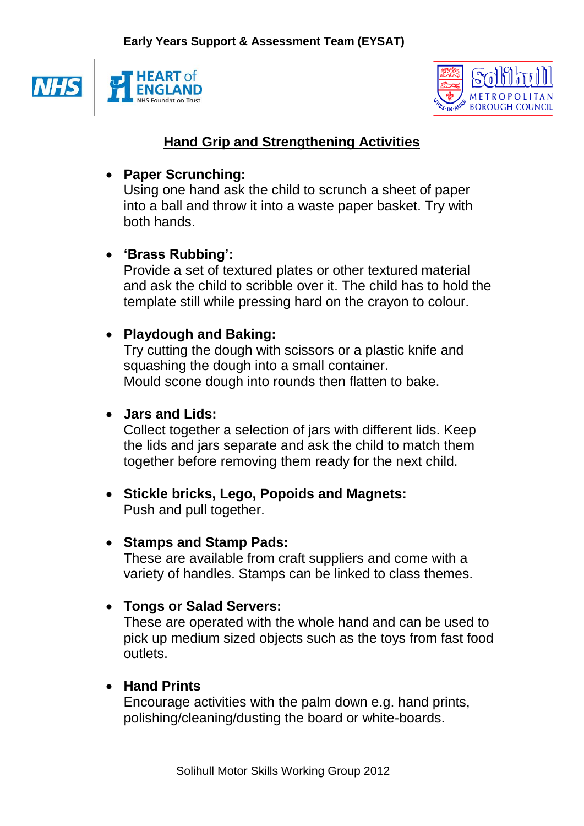



# **Hand Grip and Strengthening Activities**

#### **Paper Scrunching:**

Using one hand ask the child to scrunch a sheet of paper into a ball and throw it into a waste paper basket. Try with both hands.

# **'Brass Rubbing':**

Provide a set of textured plates or other textured material and ask the child to scribble over it. The child has to hold the template still while pressing hard on the crayon to colour.

### **Playdough and Baking:**

Try cutting the dough with scissors or a plastic knife and squashing the dough into a small container. Mould scone dough into rounds then flatten to bake.

#### **Jars and Lids:**

Collect together a selection of jars with different lids. Keep the lids and jars separate and ask the child to match them together before removing them ready for the next child.

 **Stickle bricks, Lego, Popoids and Magnets:** Push and pull together.

### **Stamps and Stamp Pads:**

These are available from craft suppliers and come with a variety of handles. Stamps can be linked to class themes.

### **Tongs or Salad Servers:**

These are operated with the whole hand and can be used to pick up medium sized objects such as the toys from fast food outlets.

### **Hand Prints**

Encourage activities with the palm down e.g. hand prints, polishing/cleaning/dusting the board or white-boards.